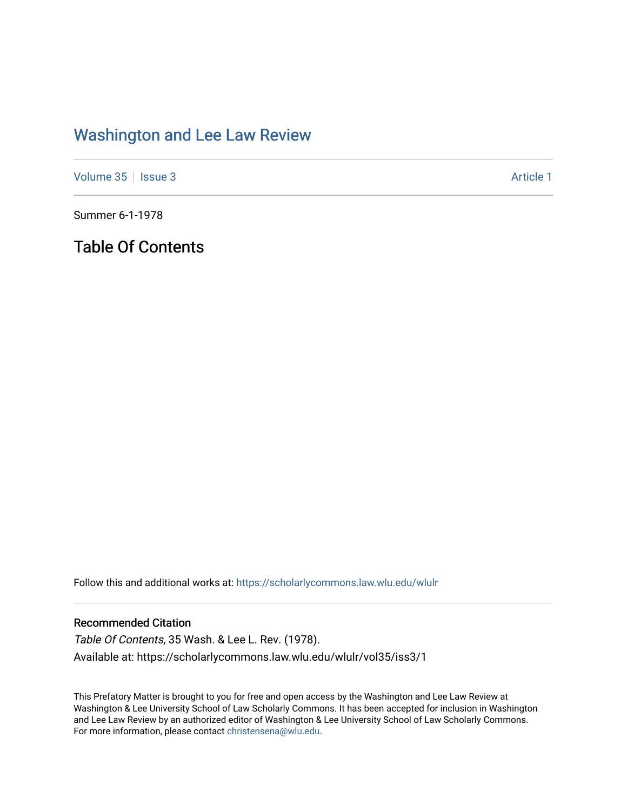## [Washington and Lee Law Review](https://scholarlycommons.law.wlu.edu/wlulr)

[Volume 35](https://scholarlycommons.law.wlu.edu/wlulr/vol35) | [Issue 3](https://scholarlycommons.law.wlu.edu/wlulr/vol35/iss3) Article 1

Summer 6-1-1978

Table Of Contents

Follow this and additional works at: [https://scholarlycommons.law.wlu.edu/wlulr](https://scholarlycommons.law.wlu.edu/wlulr?utm_source=scholarlycommons.law.wlu.edu%2Fwlulr%2Fvol35%2Fiss3%2F1&utm_medium=PDF&utm_campaign=PDFCoverPages) 

### Recommended Citation

Table Of Contents, 35 Wash. & Lee L. Rev. (1978). Available at: https://scholarlycommons.law.wlu.edu/wlulr/vol35/iss3/1

This Prefatory Matter is brought to you for free and open access by the Washington and Lee Law Review at Washington & Lee University School of Law Scholarly Commons. It has been accepted for inclusion in Washington and Lee Law Review by an authorized editor of Washington & Lee University School of Law Scholarly Commons. For more information, please contact [christensena@wlu.edu](mailto:christensena@wlu.edu).